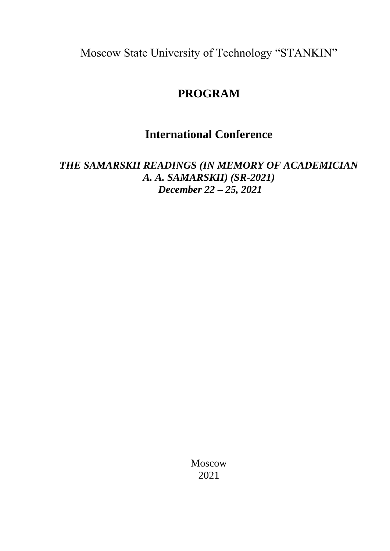Moscow State University of Technology "STANKIN"

# **PROGRAM**

# **International Conference**

*THE SAMARSKII READINGS (IN MEMORY OF ACADEMICIAN A. A. SAMARSKII) (SR-2021) December 22 – 25, 2021*

> Moscow 2021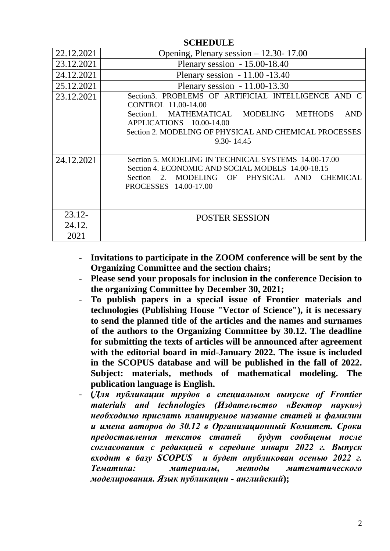| 22.12.2021                  | Opening, Plenary session - 12.30-17.00                                                                                                                                                                                                            |
|-----------------------------|---------------------------------------------------------------------------------------------------------------------------------------------------------------------------------------------------------------------------------------------------|
| 23.12.2021                  | Plenary session $-15.00-18.40$                                                                                                                                                                                                                    |
| 24.12.2021                  | Plenary session - 11.00 - 13.40                                                                                                                                                                                                                   |
| 25.12.2021                  | Plenary session $-11.00-13.30$                                                                                                                                                                                                                    |
| 23.12.2021                  | Section3. PROBLEMS OF ARTIFICIAL INTELLIGENCE AND C<br>CONTROL 11.00-14.00<br>Section1. MATHEMATICAL MODELING<br><b>METHODS</b><br><b>AND</b><br>APPLICATIONS 10.00-14.00<br>Section 2. MODELING OF PHYSICAL AND CHEMICAL PROCESSES<br>9.30-14.45 |
| 24.12.2021                  | Section 5. MODELING IN TECHNICAL SYSTEMS 14.00-17.00<br>Section 4. ECONOMIC AND SOCIAL MODELS 14.00-18.15<br>Section 2. MODELING OF PHYSICAL AND<br><b>CHEMICAL</b><br>PROCESSES 14.00-17.00                                                      |
| $23.12 -$<br>24.12.<br>2021 | <b>POSTER SESSION</b>                                                                                                                                                                                                                             |

**SCHEDULE** 

- **Invitations to participate in the ZOOM conference will be sent by the Organizing Committee and the section chairs;**
- **Please send your proposals for inclusion in the conference Decision to the organizing Committee by December 30, 2021;**
- **To publish papers in a special issue of Frontier materials and technologies (Publishing House "Vector of Science"), it is necessary to send the planned title of the articles and the names and surnames of the authors to the Organizing Committee by 30.12. The deadline for submitting the texts of articles will be announced after agreement with the editorial board in mid-January 2022. The issue is included in the SCOPUS database and will be published in the fall of 2022. Subject: materials, methods of mathematical modeling. The publication language is English.**
- **(***Для публикации трудов в специальном выпуске of Frontier materials and technologies (Издательство «Вектор науки») необходимо прислать планируемое название статей и фамилии и имена авторов до 30.12 в Организационный Комитет. Сроки предоставления текстов статей будут сообщены после согласования с редакцией в середине января 2022 г. Выпуск входит в базу SCOPUS и будет опубликован осенью 2022 г. Тематика: материалы, методы математического моделирования. Язык публикации - английский***);**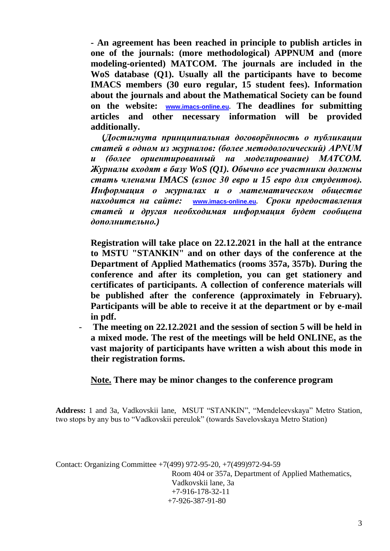**- An agreement has been reached in principle to publish articles in one of the journals: (more methodological) APPNUM and (more modeling-oriented) MATCOM. The journals are included in the WoS database (Q1). Usually all the participants have to become IMACS members (30 euro regular, 15 student fees). Information about the journals and about the Mathematical Society can be found on the website: [www.imacs-online.eu.](https://mail.yandex.ru/re.jsx?h=a,NZzOkz_IfAwvNr9xE9UZBQ&l=aHR0cDovL3d3dy5pbWFjcy1vbmxpbmUuZXUv) The deadlines for submitting articles and other necessary information will be provided additionally.**

 **(***Достигнута принципиальная договорённость о публикации статей в одном из журналов: (более методологический) APNUM и (более ориентированный на моделирование) MATCOM. Журналы входят в базу WoS (Q1). Обычно все участники должны стать членами IMACS (взнос 30 евро и 15 евро для студентов). Информация о журналах и о математическом обществе находится на сайте:* **[www.imacs-online.eu.](https://mail.yandex.ru/re.jsx?h=a,NZzOkz_IfAwvNr9xE9UZBQ&l=aHR0cDovL3d3dy5pbWFjcy1vbmxpbmUuZXUv)** *Сроки предоставления статей и другая необходимая информация будет сообщена дополнительно.)*

**Registration will take place on 22.12.2021 in the hall at the entrance to MSTU "STANKIN" and on other days of the conference at the Department of Applied Mathematics (rooms 357a, 357b). During the conference and after its completion, you can get stationery and certificates of participants. A collection of conference materials will be published after the conference (approximately in February). Participants will be able to receive it at the department or by e-mail in pdf.**

- **The meeting on 22.12.2021 and the session of section 5 will be held in a mixed mode. The rest of the meetings will be held ONLINE, as the vast majority of participants have written a wish about this mode in their registration forms.**

### **Note. There may be minor changes to the conference program**

**Address:** 1 and 3a, Vadkovskii lane, MSUT "STANKIN", "Mendeleevskaya" Metro Station, two stops by any bus to "Vadkovskii pereulok" (towards Savelovskaya Metro Station)

Contact: Organizing Committee +7(499) 972-95-20, +7(499)972-94-59 Room 404 or 357a, Department of Applied Mathematics, Vadkovskii lane, 3a +7-916-178-32-11 +7-926-387-91-80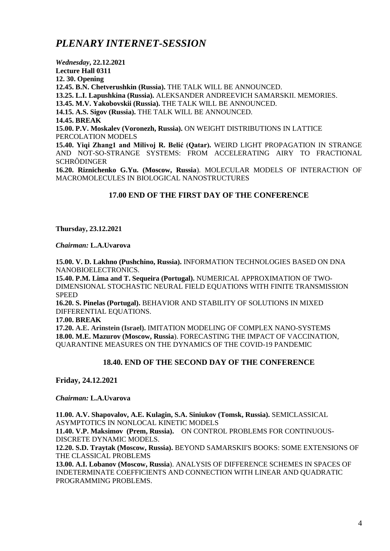## *PLENARY INTERNET-SESSION*

*Wednesday***, 22.12.2021 Lecture Hall 0311 12. 30. Opening 12.45. B.N. Chetverushkin (Russia).** THE TALK WILL BE ANNOUNCED. **13.25. L.I. Lapushkina (Russia).** ALEKSANDER ANDREEVICH SAMARSKII. MEMORIES. **13.45. M.V. Yakobovskii (Russia).** THE TALK WILL BE ANNOUNCED. **14.15. A.S. Sigov (Russia).** THE TALK WILL BE ANNOUNCED. **14.45. BREAK 15.00. P.V. Moskalev (Voronezh, Russia).** ON WEIGHT DISTRIBUTIONS IN LATTICE PERCOLATION MODELS **15.40. Yiqi Zhang1 and Milivoj R. Belić (Qatar).** WEIRD LIGHT PROPAGATION IN STRANGE AND NOT-SO-STRANGE SYSTEMS: FROM ACCELERATING AIRY TO FRACTIONAL **SCHRÖDINGER 16.20. Riznichenko G.Yu. (Moscow, Russia**). MOLECULAR MODELS OF INTERACTION OF MACROMOLECULES IN BIOLOGICAL NANOSTRUCTURES

#### **17.00 END OF THE FIRST DAY OF THE CONFERENCE**

**Thursday, 23.12.2021**

*Chairman:* **L.A.Uvarova**

**15.00. V. D. Lakhno (Pushchino, Russia).** INFORMATION TECHNOLOGIES BASED ON DNA NANOBIOELECTRONICS.

**15.40. P.M. Lima and T. Sequeira (Portugal).** NUMERICAL APPROXIMATION OF TWO-DIMENSIONAL STOCHASTIC NEURAL FIELD EQUATIONS WITH FINITE TRANSMISSION **SPEED** 

**16.20. S. Pinelas (Portugal).** BEHAVIOR AND STABILITY OF SOLUTIONS IN MIXED DIFFERENTIAL EQUATIONS.

**17.00. BREAK**

**17.20. A.E. Arinstein (Israel).** IMITATION MODELING OF COMPLEX NANO-SYSTEMS **18.00. M.E. Mazurov (Moscow, Russia**). FORECASTING THE IMPACT OF VACCINATION, QUARANTINE MEASURES ON THE DYNAMICS OF THE COVID-19 PANDEMIC

#### **18.40. END OF THE SECOND DAY OF THE CONFERENCE**

**Friday, 24.12.2021**

*Chairman:* **L.A.Uvarova**

**11.00. A.V. Shapovalov, A.E. Kulagin, S.A. Siniukov (Tomsk, Russia).** SEMICLASSICAL ASYMPTOTICS IN NONLOCAL KINETIC MODELS

**11.40. V.P. Maksimov (Prem, Russia).** ON CONTROL PROBLEMS FOR CONTINUOUS-DISCRETE DYNAMIC MODELS.

**12.20. S.D. Traytak (Moscow, Russia).** BEYOND SAMARSKII'S BOOKS: SOME EXTENSIONS OF THE CLASSICAL PROBLEMS

**13.00. A.I. Lobanov (Moscow, Russia**). ANALYSIS OF DIFFERENCE SCHEMES IN SPACES OF INDETERMINATE COEFFICIENTS AND CONNECTION WITH LINEAR AND QUADRATIC PROGRAMMING PROBLEMS.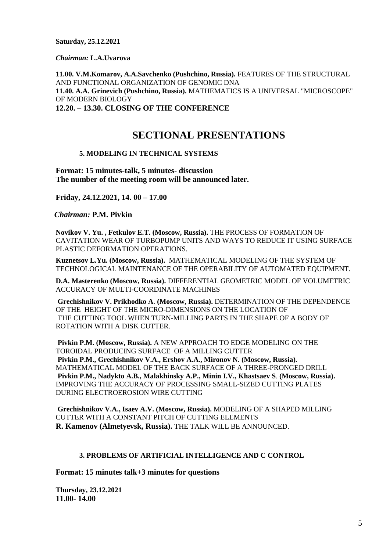**Saturday, 25.12.2021**

*Chairman:* **L.A.Uvarova**

**11.00. V.M.Komarov, A.A.Savchenko (Pushchino, Russia).** FEATURES OF THE STRUCTURAL AND FUNCTIONAL ORGANIZATION OF GENOMIC DNA **11.40. A.A. Grinevich (Pushchino, Russia).** MATHEMATICS IS A UNIVERSAL "MICROSCOPE" OF MODERN BIOLOGY **12.20. – 13.30. CLOSING OF THE CONFERENCE**

## **SECTIONAL PRESENTATIONS**

#### **5. MODELING IN TECHNICAL SYSTEMS**

**Format: 15 minutes-talk, 5 minutes- discussion The number of the meeting room will be announced later.**

**Friday, 24.12.2021, 14. 00 – 17.00**

 *Chairman:* **P.M. Pivkin**

**Novikov V. Yu. , Fetkulov E.T. (Moscow, Russia).** THE PROCESS OF FORMATION OF CAVITATION WEAR OF TURBOPUMP UNITS AND WAYS TO REDUCE IT USING SURFACE PLASTIC DEFORMATION OPERATIONS.

**Kuznetsov L.Yu. (Moscow, Russia).** MATHEMATICAL MODELING OF THE SYSTEM OF TECHNOLOGICAL MAINTENANCE OF THE OPERABILITY OF AUTOMATED EQUIPMENT.

**D.A. Masterenko (Moscow, Russia).** DIFFERENTIAL GEOMETRIC MODEL OF VOLUMETRIC ACCURACY OF MULTI-COORDINATE MACHINES

**Grechishnikov V. Prikhodko A**. **(Moscow, Russia).** DETERMINATION OF THE DEPENDENCE OF THE HEIGHT OF THE MICRO-DIMENSIONS ON THE LOCATION OF THE CUTTING TOOL WHEN TURN-MILLING PARTS IN THE SHAPE OF A BODY OF ROTATION WITH A DISK CUTTER.

**Pivkin P.M. (Moscow, Russia).** A NEW APPROACH TO EDGE MODELING ON THE TOROIDAL PRODUCING SURFACE OF A MILLING CUTTER **Pivkin P.M., Grechishnikov V.A., Ershov A.A., Mironov N. (Moscow, Russia).**  MATHEMATICAL MODEL OF THE BACK SURFACE OF A THREE-PRONGED DRILL **Pivkin P.M., Nadykto A.B., Malakhinsky A.P., Minin I.V., Khastsaev S**. **(Moscow, Russia).**  IMPROVING THE ACCURACY OF PROCESSING SMALL-SIZED CUTTING PLATES DURING ELECTROEROSION WIRE CUTTING

**Grechishnikov V.A., Isaev A.V. (Moscow, Russia).** MODELING OF A SHAPED MILLING CUTTER WITH A CONSTANT PITCH OF CUTTING ELEMENTS **R. Kamenov (Almetyevsk, Russia).** THE TALK WILL BE ANNOUNCED.

#### **3. PROBLEMS OF ARTIFICIAL INTELLIGENCE AND C CONTROL**

**Format: 15 minutes talk+3 minutes for questions**

**Thursday, 23.12.2021 11.00- 14.00**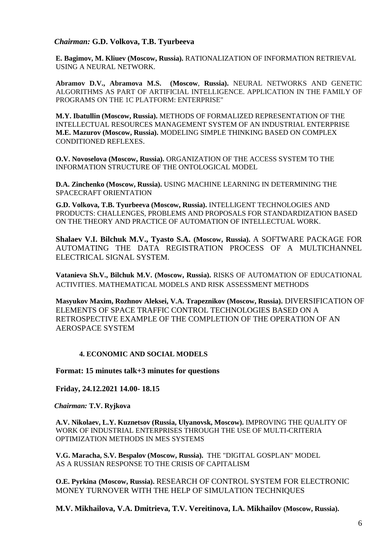#### *Chairman:* **G.D. Volkova, T.B. Tyurbeeva**

**E. Bagimov, M. Kliuev (Moscow, Russia).** RATIONALIZATION OF INFORMATION RETRIEVAL USING A NEURAL NETWORK.

**Abramov D.V., Abramova M.S. (Moscow**, **Russia).** NEURAL NETWORKS AND GENETIC ALGORITHMS AS PART OF ARTIFICIAL INTELLIGENCE. APPLICATION IN THE FAMILY OF PROGRAMS ON THE 1C PLATFORM: ENTERPRISE"

**M.Y. Ibatullin (Moscow, Russia).** METHODS OF FORMALIZED REPRESENTATION OF THE INTELLECTUAL RESOURCES MANAGEMENT SYSTEM OF AN INDUSTRIAL ENTERPRISE **M.E. Mazurov (Moscow, Russia).** MODELING SIMPLE THINKING BASED ON COMPLEX CONDITIONED REFLEXES.

**O.V. Novoselova (Moscow, Russia).** ORGANIZATION OF THE ACCESS SYSTEM TO THE INFORMATION STRUCTURE OF THE ONTOLOGICAL MODEL

**D.A. Zinchenko (Moscow, Russia).** USING MACHINE LEARNING IN DETERMINING THE SPACECRAFT ORIENTATION

**G.D. Volkova, T.B. Tyurbeeva (Moscow, Russia).** INTELLIGENT TECHNOLOGIES AND PRODUCTS: CHALLENGES, PROBLEMS AND PROPOSALS FOR STANDARDIZATION BASED ON THE THEORY AND PRACTICE OF AUTOMATION OF INTELLECTUAL WORK.

**Shalaev V.I. Bilchuk M.V., Tyasto S.A. (Moscow, Russia).** A SOFTWARE PACKAGE FOR AUTOMATING THE DATA REGISTRATION PROCESS OF A MULTICHANNEL ELECTRICAL SIGNAL SYSTEM.

**Vatanieva Sh.V., Bilchuk M.V. (Moscow, Russia).** RISKS OF AUTOMATION OF EDUCATIONAL ACTIVITIES. MATHEMATICAL MODELS AND RISK ASSESSMENT METHODS

**Masyukov Maxim, Rozhnov Aleksei, V.A. Trapeznikov (Moscow, Russia).** DIVERSIFICATION OF ELEMENTS OF SPACE TRAFFIC CONTROL TECHNOLOGIES BASED ON A RETROSPECTIVE EXAMPLE OF THE COMPLETION OF THE OPERATION OF AN AEROSPACE SYSTEM

#### **4. ECONOMIC AND SOCIAL MODELS**

**Format: 15 minutes talk+3 minutes for questions**

**Friday, 24.12.2021 14.00- 18.15**

 *Chairman:* **T.V. Ryjkova**

**A.V. Nikolaev, L.Y. Kuznetsov (Russia, Ulyanovsk, Moscow).** IMPROVING THE QUALITY OF WORK OF INDUSTRIAL ENTERPRISES THROUGH THE USE OF MULTI-CRITERIA OPTIMIZATION METHODS IN MES SYSTEMS

**V.G. Maracha, S.V. Bespalov (Moscow, Russia).** THE "DIGITAL GOSPLAN" MODEL AS A RUSSIAN RESPONSE TO THE CRISIS OF CAPITALISM

**O.E. Pyrkina (Moscow, Russia).** RESEARCH OF CONTROL SYSTEM FOR ELECTRONIC MONEY TURNOVER WITH THE HELP OF SIMULATION TECHNIQUES

**M.V. Mikhailova, V.A. Dmitrieva, T.V. Vereitinova, I.A. Mikhailov (Moscow, Russia).**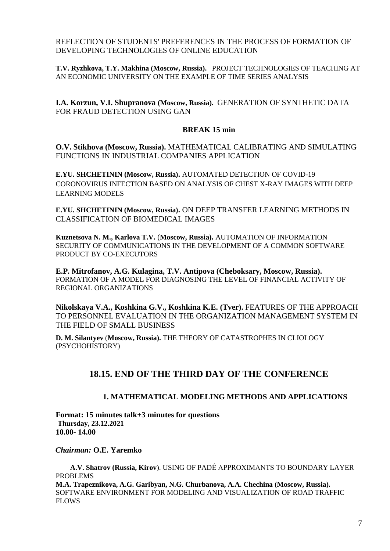REFLECTION OF STUDENTS' PREFERENCES IN THE PROCESS OF FORMATION OF DEVELOPING TECHNOLOGIES OF ONLINE EDUCATION

**T.V. Ryzhkova, T.Y. Makhina (Moscow, Russia).** PROJECT TECHNOLOGIES OF TEACHING AT AN ECONOMIC UNIVERSITY ON THE EXAMPLE OF TIME SERIES ANALYSIS

**I.A. Korzun, V.I. Shupranova (Moscow, Russia).** GENERATION OF SYNTHETIC DATA FOR FRAUD DETECTION USING GAN

#### **BREAK 15 min**

**O.V. Stikhova (Moscow, Russia).** MATHEMATICAL CALIBRATING AND SIMULATING FUNCTIONS IN INDUSTRIAL COMPANIES APPLICATION

**E.YU. SHCHETININ (Moscow, Russia).** AUTOMATED DETECTION OF COVID-19 CORONOVIRUS INFECTION BASED ON ANALYSIS OF CHEST X-RAY IMAGES WITH DEEP LEARNING MODELS

**E.YU. SHCHETININ (Moscow, Russia).** ON DEEP TRANSFER LEARNING METHODS IN CLASSIFICATION OF BIOMEDICAL IMAGES

**Kuznetsova N. M., Karlova T.V.** (**Moscow, Russia).** AUTOMATION OF INFORMATION SECURITY OF COMMUNICATIONS IN THE DEVELOPMENT OF A COMMON SOFTWARE PRODUCT BY CO-EXECUTORS

**E.P. Mitrofanov, A.G. Kulagina, T.V. Antipova (Cheboksary, Moscow, Russia).**  FORMATION OF A MODEL FOR DIAGNOSING THE LEVEL OF FINANCIAL ACTIVITY OF REGIONAL ORGANIZATIONS

**Nikolskaya V.A., Koshkina G.V., Koshkina K.E. (Tver).** FEATURES OF THE APPROACH TO PERSONNEL EVALUATION IN THE ORGANIZATION MANAGEMENT SYSTEM IN THE FIELD OF SMALL BUSINESS

**D. M. Silantyev** (**Moscow, Russia).** THE THEORY OF CATASTROPHES IN CLIOLOGY (PSYCHOHISTORY)

### **18.15. END OF THE THIRD DAY OF THE CONFERENCE**

#### **1. MATHEMATICAL MODELING METHODS AND APPLICATIONS**

**Format: 15 minutes talk+3 minutes for questions Thursday, 23.12.2021 10.00- 14.00**

 *Chairman:* **O.E. Yaremko**

 **A.V. Shatrov (Russia, Kirov**). USING OF PADÉ APPROXIMANTS TO BOUNDARY LAYER PROBLEMS **M.A. Trapeznikova, A.G. Garibyan, N.G. Churbanova, A.A. Chechina (Moscow, Russia).** SOFTWARE ENVIRONMENT FOR MODELING AND VISUALIZATION OF ROAD TRAFFIC FLOWS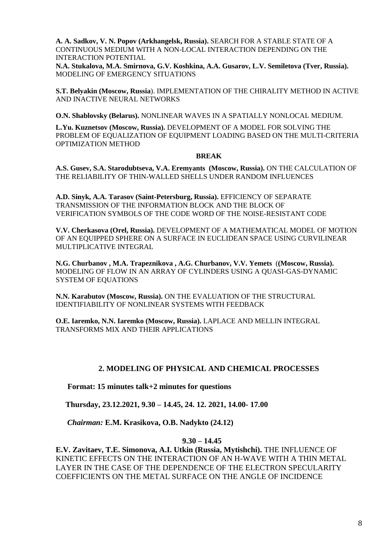**A. A. Sadkov, V. N. Popov (Arkhangelsk, Russia).** SEARCH FOR A STABLE STATE OF A CONTINUOUS MEDIUM WITH A NON-LOCAL INTERACTION DEPENDING ON THE INTERACTION POTENTIAL

**N.A. Stukalova, M.A. Smirnova, G.V. Koshkina, A.A. Gusarov, L.V. Semiletova (Tver, Russia).**  MODELING OF EMERGENCY SITUATIONS

**S.T. Belyakin (Moscow, Russia**). IMPLEMENTATION OF THE CHIRALITY METHOD IN ACTIVE AND INACTIVE NEURAL NETWORKS

**O.N. Shablovsky (Belarus).** NONLINEAR WAVES IN A SPATIALLY NONLOCAL MEDIUM.

**L.Yu. Kuznetsov (Moscow, Russia).** DEVELOPMENT OF A MODEL FOR SOLVING THE PROBLEM OF EQUALIZATION OF EQUIPMENT LOADING BASED ON THE MULTI-CRITERIA OPTIMIZATION METHOD

#### **BREAK**

**A.S. Gusev, S.A. Starodubtseva, V.A. Eremyants (Moscow, Russia).** ON THE CALCULATION OF THE RELIABILITY OF THIN-WALLED SHELLS UNDER RANDOM INFLUENCES

**A.D. Sinyk, A.A. Tarasov (Saint-Petersburg, Russia).** EFFICIENCY OF SEPARATE TRANSMISSION OF THE INFORMATION BLOCK AND THE BLOCK OF VERIFICATION SYMBOLS OF THE CODE WORD OF THE NOISE-RESISTANT CODE

**V.V. Cherkasova (Orel, Russia).** DEVELOPMENT OF A MATHEMATICAL MODEL OF MOTION OF AN EQUIPPED SPHERE ON A SURFACE IN EUCLIDEAN SPACE USING CURVILINEAR MULTIPLICATIVE INTEGRAL

**N.G. Churbanov , M.A. Trapeznikova , A.G. Churbanov, V.V. Yemets** (**(Moscow, Russia).** MODELING OF FLOW IN AN ARRAY OF CYLINDERS USING A QUASI-GAS-DYNAMIC SYSTEM OF EQUATIONS

**N.N. Karabutov (Moscow, Russia).** ON THE EVALUATION OF THE STRUCTURAL IDENTIFIABILITY OF NONLINEAR SYSTEMS WITH FEEDBACK

**O.E. Iaremko, N.N. Iaremko (Moscow, Russia).** LAPLACE AND MELLIN INTEGRAL TRANSFORMS MIX AND THEIR APPLICATIONS

#### **2. MODELING OF PHYSICAL AND CHEMICAL PROCESSES**

 **Format: 15 minutes talk+2 minutes for questions**

 **Thursday, 23.12.2021, 9.30 – 14.45, 24. 12. 2021, 14.00- 17.00**

 *Chairman:* **E.M. Krasikova, O.B. Nadykto (24.12)**

#### **9.30 – 14.45**

**E.V. Zavitaev, T.E. Simonova, A.I. Utkin (Russia, Mytishchi).** THE INFLUENCE OF KINETIC EFFECTS ON THE INTERACTION OF AN H-WAVE WITH A THIN METAL LAYER IN THE CASE OF THE DEPENDENCE OF THE ELECTRON SPECULARITY COEFFICIENTS ON THE METAL SURFACE ON THE ANGLE OF INCIDENCE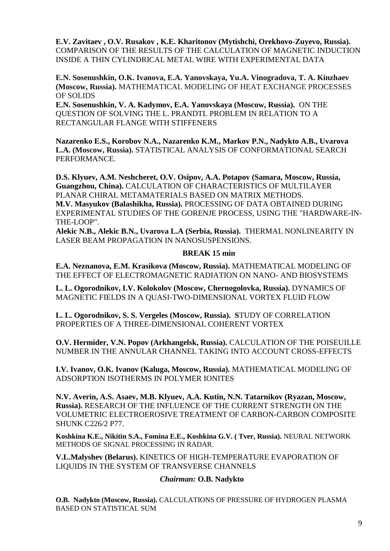**E.V. Zavitaev , O.V. Rusakov , K.E. Kharitonov (Mytishchi, Orekhovo-Zuyevo, Russia).** COMPARISON OF THE RESULTS OF THE CALCULATION OF MAGNETIC INDUCTION INSIDE A THIN CYLINDRICAL METAL WIRE WITH EXPERIMENTAL DATA

**E.N. Sosenushkin, O.K. Ivanova, E.A. Yanovskaya, Yu.A. Vinogradova, T. A. Kinzhaev (Moscow, Russia).** MATHEMATICAL MODELING OF HEAT EXCHANGE PROCESSES OF SOLIDS

**E.N. Sosenushkin, V. A. Kadymov, E.A. Yanovskaya (Moscow, Russia).** ON THE QUESTION OF SOLVING THE L. PRANDTL PROBLEM IN RELATION TO A RECTANGULAR FLANGE WITH STIFFENERS

**Nazarenko E.S., Korobov N.A., Nazarenko K.M., Markov P.N., Nadykto A.B., Uvarova L.A. (Moscow, Russia).** STATISTICAL ANALYSIS OF CONFORMATIONAL SEARCH PERFORMANCE.

**D.S. Klyuev, A.M. Neshcheret, O.V. Osipov, A.A. Potapov (Samara, Moscow, Russia, Guangzhou, China).** CALCULATION OF CHARACTERISTICS OF MULTILAYER PLANAR CHIRAL METAMATERIALS BASED ON MATRIX METHODS. **M.V. Masyukov (Balashikha, Russia).** PROCESSING OF DATA OBTAINED DURING EXPERIMENTAL STUDIES OF THE GORENJE PROCESS, USING THE "HARDWARE-IN-THE-LOOP".

**Alekic N.B., Alekic B.N., Uvarova L.A (Serbia, Russia).** THERMAL NONLINEARITY IN LASER BEAM PROPAGATION IN NANOSUSPENSIONS.

#### **BREAK 15 min**

**E.A. Neznanova, E.M. Krasikova (Moscow, Russia).** MATHEMATICAL MODELING OF THE EFFECT OF ELECTROMAGNETIC RADIATION ON NANO- AND BIOSYSTEMS

**L. L. Ogorodnikov, I.V. Kolokolov (Moscow, Chernogolovka, Russia).** DYNAMICS OF MAGNETIC FIELDS IN A QUASI-TWO-DIMENSIONAL VORTEX FLUID FLOW

**L. L. Ogorodnikov, S. S. Vergeles (Moscow, Russia). S**TUDY OF CORRELATION PROPERTIES OF A THREE-DIMENSIONAL COHERENT VORTEX

**O.V. Hermider, V.N. Popov (Arkhangelsk, Russia).** CALCULATION OF THE POISEUILLE NUMBER IN THE ANNULAR CHANNEL TAKING INTO ACCOUNT CROSS-EFFECTS

**I.V. Ivanov, O.K. Ivanov (Kaluga, Moscow, Russia).** MATHEMATICAL MODELING OF ADSORPTION ISOTHERMS IN POLYMER IONITES

**N.V. Averin, A.S. Asaev, M.B. Klyuev, A.A. Kutin, N.N. Tatarnikov (Ryazan, Moscow, Russia).** RESEARCH OF THE INFLUENCE OF THE CURRENT STRENGTH ON THE VOLUMETRIC ELECTROEROSIVE TREATMENT OF CARBON-CARBON COMPOSITE SHUNK C226/2 P77.

**Koshkina K.E., Nikitin S.A., Fomina E.E., Koshkina G.V. ( Tver, Russia).** NEURAL NETWORK METHODS OF SIGNAL PROCESSING IN RADAR.

**V.L.Malyshev (Belarus).** KINETICS OF HIGH-TEMPERATURE EVAPORATION OF LIQUIDS IN THE SYSTEM OF TRANSVERSE CHANNELS

#### *Chairman:* **O.B. Nadykto**

**O.B. Nadykto (Moscow, Russia).** CALCULATIONS OF PRESSURE OF HYDROGEN PLASMA BASED ON STATISTICAL SUM